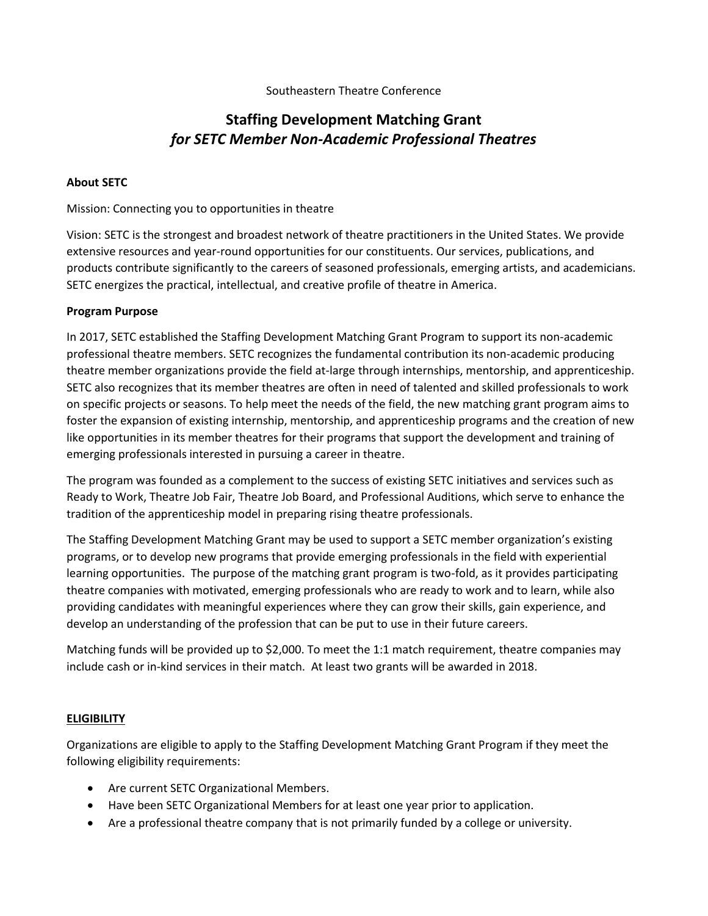## Southeastern Theatre Conference

# **Staffing Development Matching Grant** *for SETC Member Non-Academic Professional Theatres*

### **About SETC**

### Mission: Connecting you to opportunities in theatre

Vision: SETC is the strongest and broadest network of theatre practitioners in the United States. We provide extensive resources and year‐round opportunities for our constituents. Our services, publications, and products contribute significantly to the careers of seasoned professionals, emerging artists, and academicians. SETC energizes the practical, intellectual, and creative profile of theatre in America.

### **Program Purpose**

In 2017, SETC established the Staffing Development Matching Grant Program to support its non-academic professional theatre members. SETC recognizes the fundamental contribution its non-academic producing theatre member organizations provide the field at-large through internships, mentorship, and apprenticeship. SETC also recognizes that its member theatres are often in need of talented and skilled professionals to work on specific projects or seasons. To help meet the needs of the field, the new matching grant program aims to foster the expansion of existing internship, mentorship, and apprenticeship programs and the creation of new like opportunities in its member theatres for their programs that support the development and training of emerging professionals interested in pursuing a career in theatre.

The program was founded as a complement to the success of existing SETC initiatives and services such as Ready to Work, Theatre Job Fair, Theatre Job Board, and Professional Auditions, which serve to enhance the tradition of the apprenticeship model in preparing rising theatre professionals.

The Staffing Development Matching Grant may be used to support a SETC member organization's existing programs, or to develop new programs that provide emerging professionals in the field with experiential learning opportunities. The purpose of the matching grant program is two-fold, as it provides participating theatre companies with motivated, emerging professionals who are ready to work and to learn, while also providing candidates with meaningful experiences where they can grow their skills, gain experience, and develop an understanding of the profession that can be put to use in their future careers.

Matching funds will be provided up to \$2,000. To meet the 1:1 match requirement, theatre companies may include cash or in-kind services in their match. At least two grants will be awarded in 2018.

# **ELIGIBILITY**

Organizations are eligible to apply to the Staffing Development Matching Grant Program if they meet the following eligibility requirements:

- Are current SETC Organizational Members.
- Have been SETC Organizational Members for at least one year prior to application.
- Are a professional theatre company that is not primarily funded by a college or university.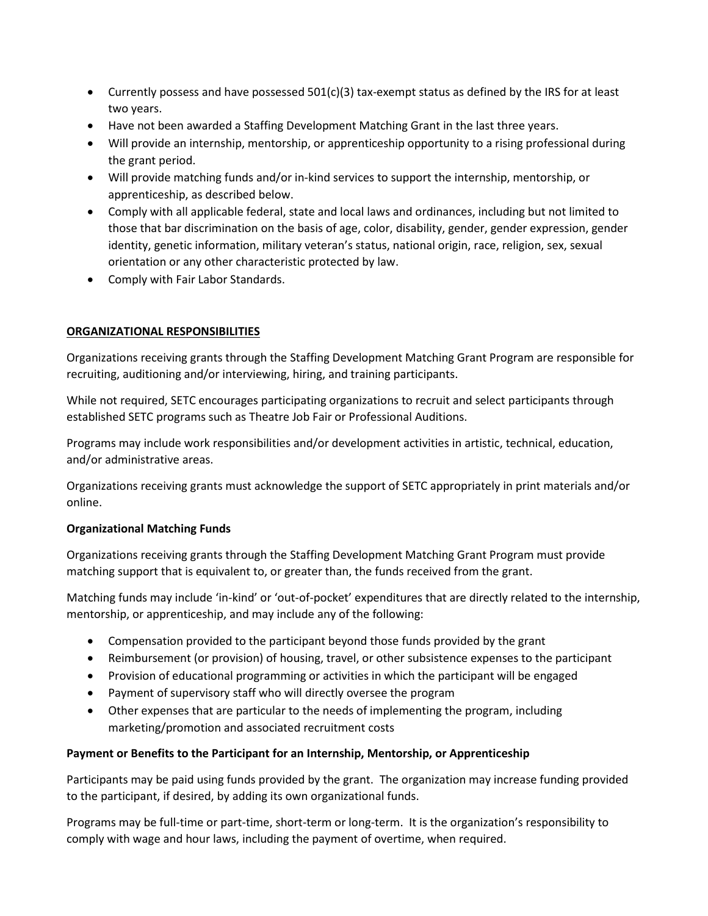- $\bullet$  Currently possess and have possessed 501(c)(3) tax-exempt status as defined by the IRS for at least two years.
- Have not been awarded a Staffing Development Matching Grant in the last three years.
- Will provide an internship, mentorship, or apprenticeship opportunity to a rising professional during the grant period.
- Will provide matching funds and/or in-kind services to support the internship, mentorship, or apprenticeship, as described below.
- Comply with all applicable federal, state and local laws and ordinances, including but not limited to those that bar discrimination on the basis of age, color, disability, gender, gender expression, gender identity, genetic information, military veteran's status, national origin, race, religion, sex, sexual orientation or any other characteristic protected by law.
- Comply with Fair Labor Standards.

# **ORGANIZATIONAL RESPONSIBILITIES**

Organizations receiving grants through the Staffing Development Matching Grant Program are responsible for recruiting, auditioning and/or interviewing, hiring, and training participants.

While not required, SETC encourages participating organizations to recruit and select participants through established SETC programs such as Theatre Job Fair or Professional Auditions.

Programs may include work responsibilities and/or development activities in artistic, technical, education, and/or administrative areas.

Organizations receiving grants must acknowledge the support of SETC appropriately in print materials and/or online.

### **Organizational Matching Funds**

Organizations receiving grants through the Staffing Development Matching Grant Program must provide matching support that is equivalent to, or greater than, the funds received from the grant.

Matching funds may include 'in-kind' or 'out-of-pocket' expenditures that are directly related to the internship, mentorship, or apprenticeship, and may include any of the following:

- Compensation provided to the participant beyond those funds provided by the grant
- Reimbursement (or provision) of housing, travel, or other subsistence expenses to the participant
- Provision of educational programming or activities in which the participant will be engaged
- Payment of supervisory staff who will directly oversee the program
- Other expenses that are particular to the needs of implementing the program, including marketing/promotion and associated recruitment costs

# **Payment or Benefits to the Participant for an Internship, Mentorship, or Apprenticeship**

Participants may be paid using funds provided by the grant. The organization may increase funding provided to the participant, if desired, by adding its own organizational funds.

Programs may be full-time or part-time, short-term or long-term. It is the organization's responsibility to comply with wage and hour laws, including the payment of overtime, when required.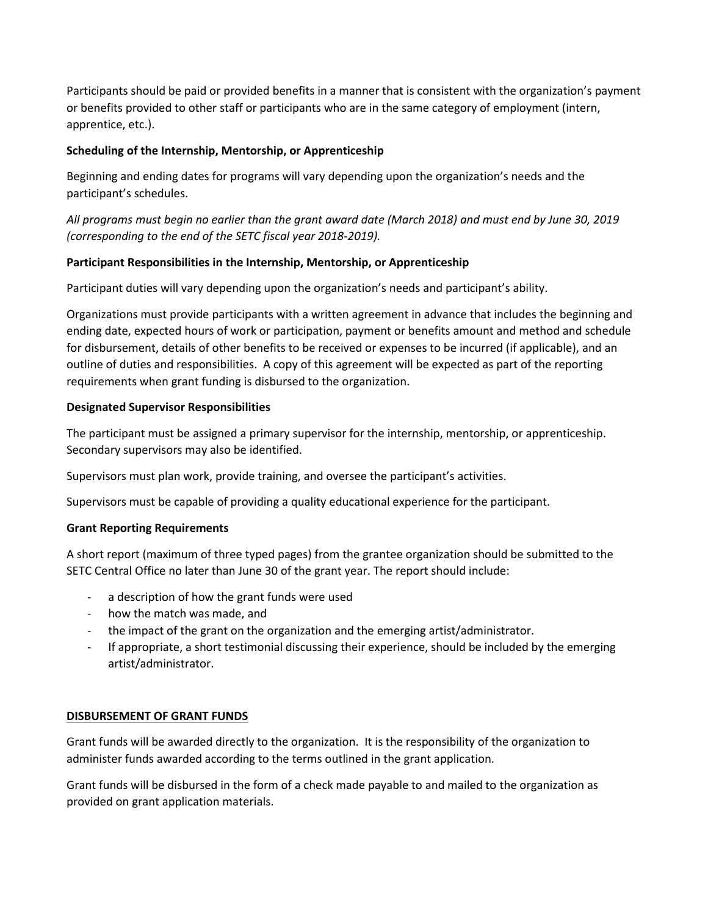Participants should be paid or provided benefits in a manner that is consistent with the organization's payment or benefits provided to other staff or participants who are in the same category of employment (intern, apprentice, etc.).

## **Scheduling of the Internship, Mentorship, or Apprenticeship**

Beginning and ending dates for programs will vary depending upon the organization's needs and the participant's schedules.

*All programs must begin no earlier than the grant award date (March 2018) and must end by June 30, 2019 (corresponding to the end of the SETC fiscal year 2018-2019).*

## **Participant Responsibilities in the Internship, Mentorship, or Apprenticeship**

Participant duties will vary depending upon the organization's needs and participant's ability.

Organizations must provide participants with a written agreement in advance that includes the beginning and ending date, expected hours of work or participation, payment or benefits amount and method and schedule for disbursement, details of other benefits to be received or expenses to be incurred (if applicable), and an outline of duties and responsibilities. A copy of this agreement will be expected as part of the reporting requirements when grant funding is disbursed to the organization.

## **Designated Supervisor Responsibilities**

The participant must be assigned a primary supervisor for the internship, mentorship, or apprenticeship. Secondary supervisors may also be identified.

Supervisors must plan work, provide training, and oversee the participant's activities.

Supervisors must be capable of providing a quality educational experience for the participant.

### **Grant Reporting Requirements**

A short report (maximum of three typed pages) from the grantee organization should be submitted to the SETC Central Office no later than June 30 of the grant year. The report should include:

- a description of how the grant funds were used
- how the match was made, and
- the impact of the grant on the organization and the emerging artist/administrator.
- If appropriate, a short testimonial discussing their experience, should be included by the emerging artist/administrator.

### **DISBURSEMENT OF GRANT FUNDS**

Grant funds will be awarded directly to the organization. It is the responsibility of the organization to administer funds awarded according to the terms outlined in the grant application.

Grant funds will be disbursed in the form of a check made payable to and mailed to the organization as provided on grant application materials.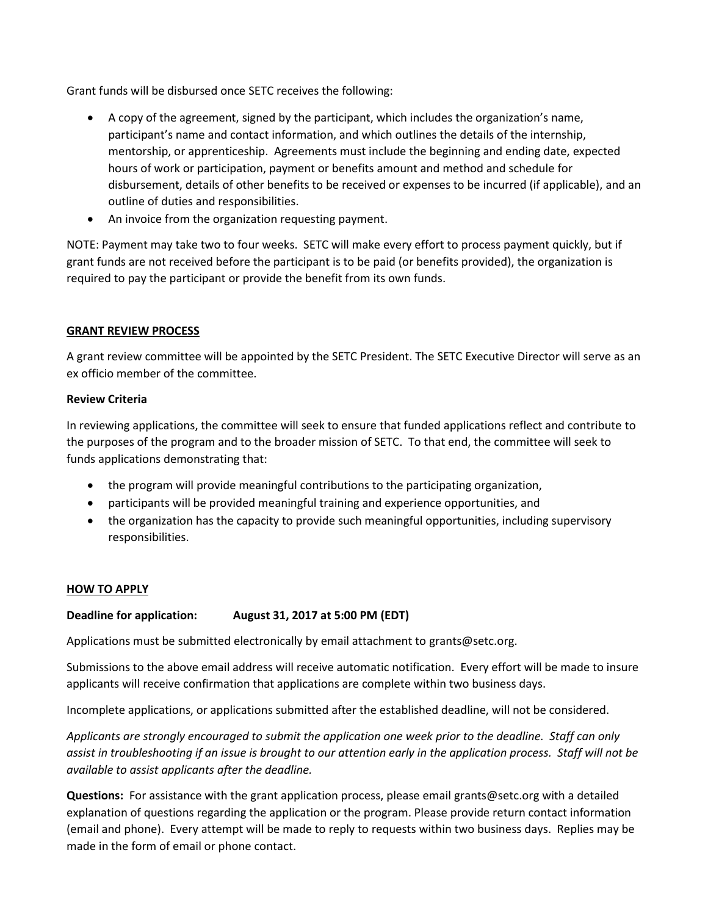Grant funds will be disbursed once SETC receives the following:

- A copy of the agreement, signed by the participant, which includes the organization's name, participant's name and contact information, and which outlines the details of the internship, mentorship, or apprenticeship. Agreements must include the beginning and ending date, expected hours of work or participation, payment or benefits amount and method and schedule for disbursement, details of other benefits to be received or expenses to be incurred (if applicable), and an outline of duties and responsibilities.
- An invoice from the organization requesting payment.

NOTE: Payment may take two to four weeks. SETC will make every effort to process payment quickly, but if grant funds are not received before the participant is to be paid (or benefits provided), the organization is required to pay the participant or provide the benefit from its own funds.

## **GRANT REVIEW PROCESS**

A grant review committee will be appointed by the SETC President. The SETC Executive Director will serve as an ex officio member of the committee.

## **Review Criteria**

In reviewing applications, the committee will seek to ensure that funded applications reflect and contribute to the purposes of the program and to the broader mission of SETC. To that end, the committee will seek to funds applications demonstrating that:

- the program will provide meaningful contributions to the participating organization,
- participants will be provided meaningful training and experience opportunities, and
- the organization has the capacity to provide such meaningful opportunities, including supervisory responsibilities.

### **HOW TO APPLY**

# **Deadline for application: August 31, 2017 at 5:00 PM (EDT)**

Applications must be submitted electronically by email attachment to grants@setc.org.

Submissions to the above email address will receive automatic notification. Every effort will be made to insure applicants will receive confirmation that applications are complete within two business days.

Incomplete applications, or applications submitted after the established deadline, will not be considered.

*Applicants are strongly encouraged to submit the application one week prior to the deadline. Staff can only assist in troubleshooting if an issue is brought to our attention early in the application process. Staff will not be available to assist applicants after the deadline.* 

**Questions:** For assistance with the grant application process, please email grants@setc.org with a detailed explanation of questions regarding the application or the program. Please provide return contact information (email and phone). Every attempt will be made to reply to requests within two business days. Replies may be made in the form of email or phone contact.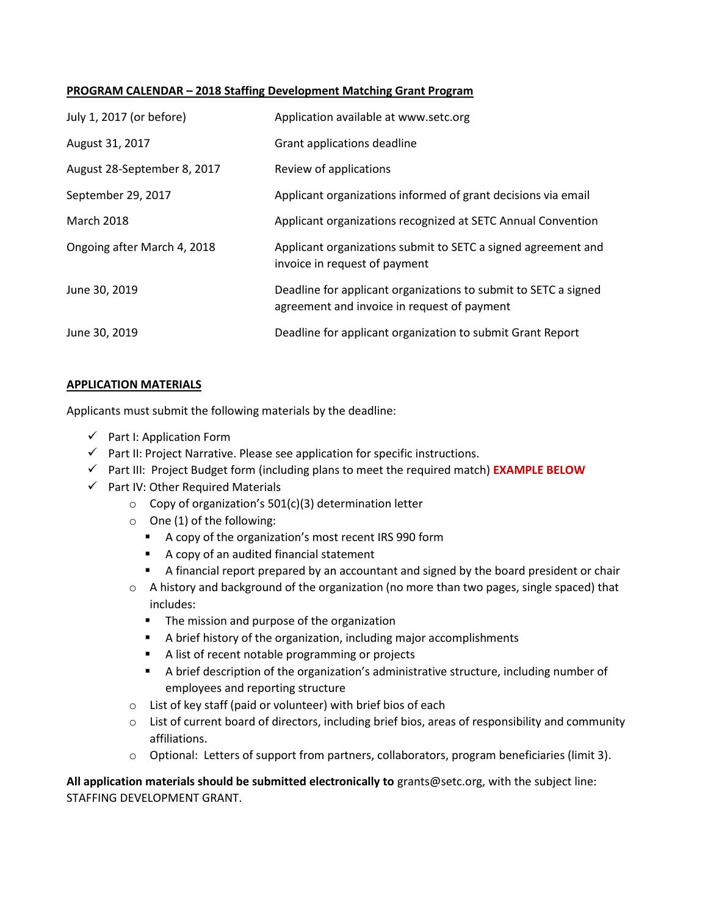#### **PROGRAM CALENDAR – 2018 Staffing Development Matching Grant Program**

| July 1, 2017 (or before)    | Application available at www.setc.org                                                                          |
|-----------------------------|----------------------------------------------------------------------------------------------------------------|
| August 31, 2017             | Grant applications deadline                                                                                    |
| August 28-September 8, 2017 | Review of applications                                                                                         |
| September 29, 2017          | Applicant organizations informed of grant decisions via email                                                  |
| <b>March 2018</b>           | Applicant organizations recognized at SETC Annual Convention                                                   |
| Ongoing after March 4, 2018 | Applicant organizations submit to SETC a signed agreement and<br>invoice in request of payment                 |
| June 30, 2019               | Deadline for applicant organizations to submit to SETC a signed<br>agreement and invoice in request of payment |
| June 30, 2019               | Deadline for applicant organization to submit Grant Report                                                     |

## **APPLICATION MATERIALS**

Applicants must submit the following materials by the deadline:

- $\checkmark$  Part I: Application Form
- $\checkmark$  Part II: Project Narrative. Please see application for specific instructions.
- Part III: Project Budget form (including plans to meet the required match) **EXAMPLE BELOW**
- $\checkmark$  Part IV: Other Required Materials
	- o Copy of organization's 501(c)(3) determination letter
	- o One (1) of the following:
		- A copy of the organization's most recent IRS 990 form
		- A copy of an audited financial statement
		- A financial report prepared by an accountant and signed by the board president or chair
	- o A history and background of the organization (no more than two pages, single spaced) that includes:
		- **The mission and purpose of the organization**
		- A brief history of the organization, including major accomplishments
		- A list of recent notable programming or projects
		- A brief description of the organization's administrative structure, including number of employees and reporting structure
	- o List of key staff (paid or volunteer) with brief bios of each
	- o List of current board of directors, including brief bios, areas of responsibility and community affiliations.
	- o Optional: Letters of support from partners, collaborators, program beneficiaries (limit 3).

**All application materials should be submitted electronically to** grants@setc.org, with the subject line: STAFFING DEVELOPMENT GRANT.